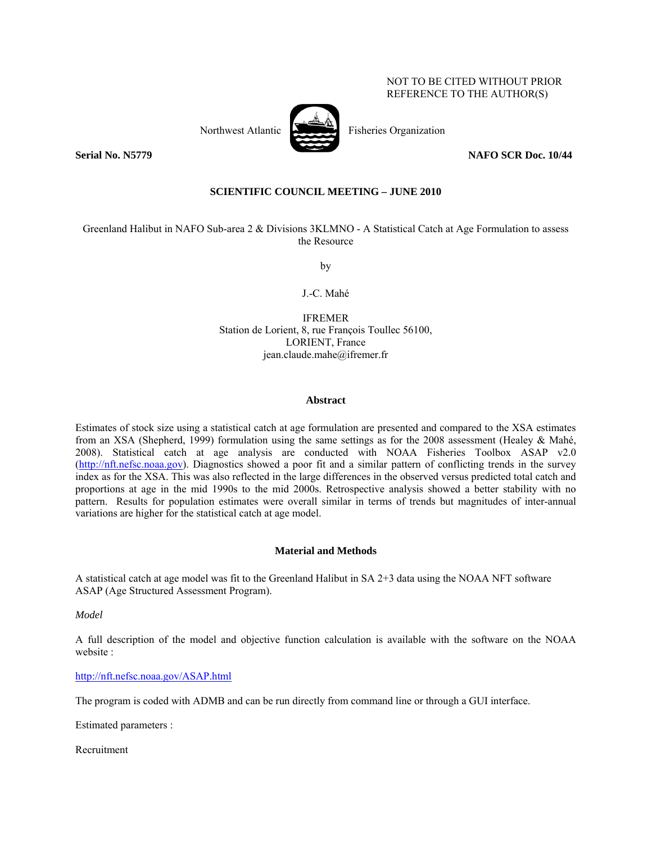## NOT TO BE CITED WITHOUT PRIOR REFERENCE TO THE AUTHOR(S)



Northwest Atlantic Fisheries Organization

**Serial No. N5779** NAFO SCR Doc. 10/44

# **SCIENTIFIC COUNCIL MEETING – JUNE 2010**

Greenland Halibut in NAFO Sub-area 2 & Divisions 3KLMNO - A Statistical Catch at Age Formulation to assess the Resource

by

J.-C. Mahé

IFREMER Station de Lorient, 8, rue François Toullec 56100, LORIENT, France jean.claude.mahe@ifremer.fr

#### **Abstract**

Estimates of stock size using a statistical catch at age formulation are presented and compared to the XSA estimates from an XSA (Shepherd, 1999) formulation using the same settings as for the 2008 assessment (Healey & Mahé, 2008). Statistical catch at age analysis are conducted with NOAA Fisheries Toolbox ASAP v2.0 (http://nft.nefsc.noaa.gov). Diagnostics showed a poor fit and a similar pattern of conflicting trends in the survey index as for the XSA. This was also reflected in the large differences in the observed versus predicted total catch and proportions at age in the mid 1990s to the mid 2000s. Retrospective analysis showed a better stability with no pattern. Results for population estimates were overall similar in terms of trends but magnitudes of inter-annual variations are higher for the statistical catch at age model.

#### **Material and Methods**

A statistical catch at age model was fit to the Greenland Halibut in SA 2+3 data using the NOAA NFT software ASAP (Age Structured Assessment Program).

*Model* 

A full description of the model and objective function calculation is available with the software on the NOAA website :

http://nft.nefsc.noaa.gov/ASAP.html

The program is coded with ADMB and can be run directly from command line or through a GUI interface.

Estimated parameters :

Recruitment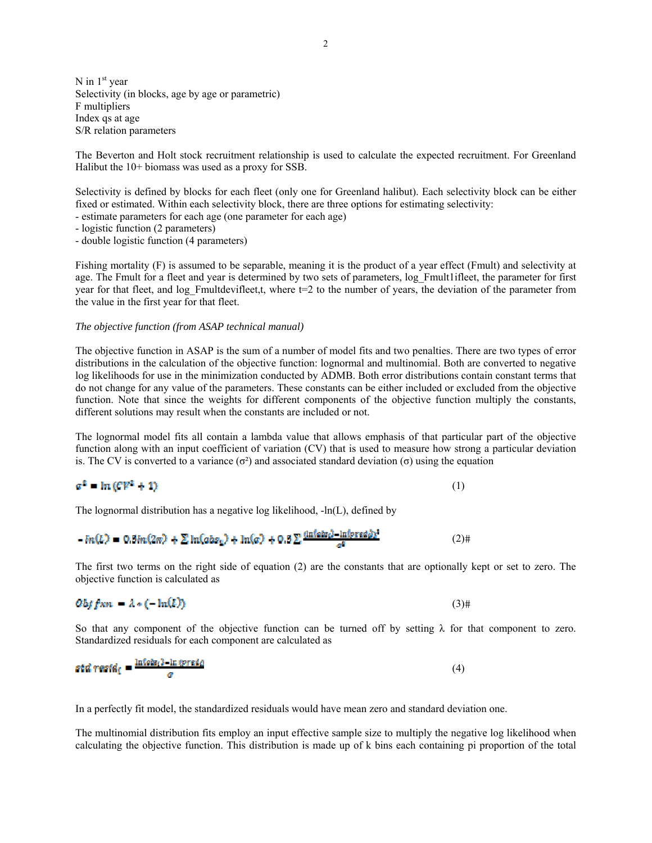N in  $1<sup>st</sup>$  year Selectivity (in blocks, age by age or parametric) F multipliers Index qs at age S/R relation parameters

The Beverton and Holt stock recruitment relationship is used to calculate the expected recruitment. For Greenland Halibut the 10+ biomass was used as a proxy for SSB.

Selectivity is defined by blocks for each fleet (only one for Greenland halibut). Each selectivity block can be either fixed or estimated. Within each selectivity block, there are three options for estimating selectivity:

- estimate parameters for each age (one parameter for each age)
- logistic function (2 parameters)

- double logistic function (4 parameters)

Fishing mortality (F) is assumed to be separable, meaning it is the product of a year effect (Fmult) and selectivity at age. The Fmult for a fleet and year is determined by two sets of parameters, log Fmult1ifleet, the parameter for first year for that fleet, and log Fmultdevifleet,t, where  $t=2$  to the number of years, the deviation of the parameter from the value in the first year for that fleet.

#### *The objective function (from ASAP technical manual)*

The objective function in ASAP is the sum of a number of model fits and two penalties. There are two types of error distributions in the calculation of the objective function: lognormal and multinomial. Both are converted to negative log likelihoods for use in the minimization conducted by ADMB. Both error distributions contain constant terms that do not change for any value of the parameters. These constants can be either included or excluded from the objective function. Note that since the weights for different components of the objective function multiply the constants, different solutions may result when the constants are included or not.

The lognormal model fits all contain a lambda value that allows emphasis of that particular part of the objective function along with an input coefficient of variation (CV) that is used to measure how strong a particular deviation is. The CV is converted to a variance ( $\sigma^2$ ) and associated standard deviation ( $\sigma$ ) using the equation

$$
\sigma^2 = \ln \left( C V^2 + 1 \right) \tag{1}
$$

The lognormal distribution has a negative log likelihood, -ln(L), defined by

$$
-in(L) = 0.8in(2\pi) + \sum \ln(abs_1) + \ln(a) + 0.8 \sum \frac{\ln(\text{abs}_2) - \ln(\text{pred}_2)^2}{a^2}
$$
 (2)

The first two terms on the right side of equation (2) are the constants that are optionally kept or set to zero. The objective function is calculated as

$$
Obffxn = \lambda * (-\ln(L))
$$
\n(3)

So that any component of the objective function can be turned off by setting  $\lambda$  for that component to zero. Standardized residuals for each component are calculated as

$$
std\,\,\text{resid}_{\text{f}} = \frac{\ln(\text{obs}_{\text{f}}) - \ln(\text{preid}_{\text{f}})}{\sigma} \tag{4}
$$

In a perfectly fit model, the standardized residuals would have mean zero and standard deviation one.

The multinomial distribution fits employ an input effective sample size to multiply the negative log likelihood when calculating the objective function. This distribution is made up of k bins each containing pi proportion of the total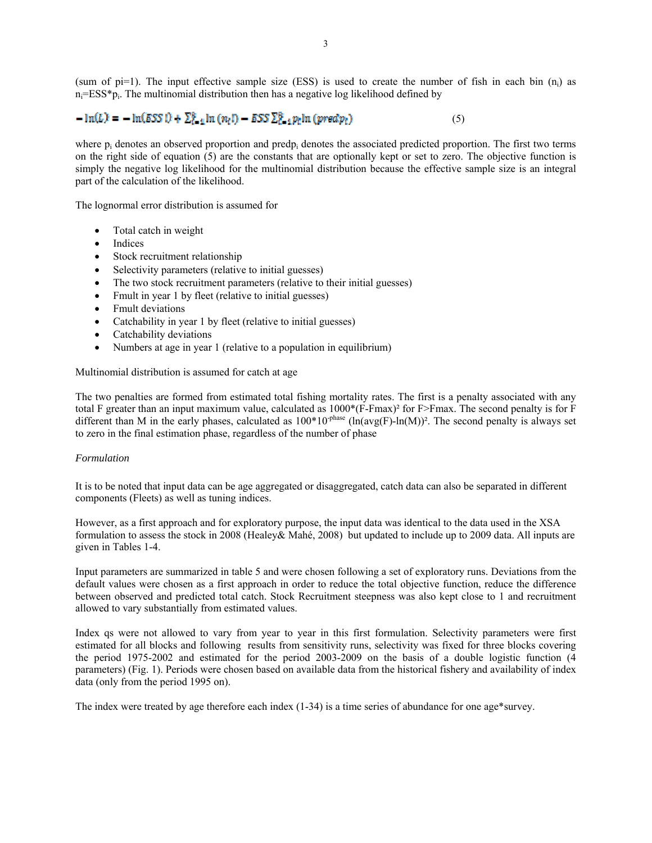(sum of pi=1). The input effective sample size (ESS) is used to create the number of fish in each bin  $(n_i)$  as  $n_i=ESS*p_i$ . The multinomial distribution then has a negative log likelihood defined by

# $-\ln(L) = -\ln(555 \text{ I}) + \sum_{i=1}^{6} \ln(n_i!) - 555 \sum_{i=1}^{6} p_i \ln(p \text{ rad} p_i)$  (5)

where  $p_i$  denotes an observed proportion and predp<sub>i</sub> denotes the associated predicted proportion. The first two terms on the right side of equation (5) are the constants that are optionally kept or set to zero. The objective function is simply the negative log likelihood for the multinomial distribution because the effective sample size is an integral part of the calculation of the likelihood.

The lognormal error distribution is assumed for

- Total catch in weight
- Indices
- Stock recruitment relationship
- Selectivity parameters (relative to initial guesses)
- The two stock recruitment parameters (relative to their initial guesses)
- Fmult in year 1 by fleet (relative to initial guesses)
- Fmult deviations
- Catchability in year 1 by fleet (relative to initial guesses)
- Catchability deviations
- Numbers at age in year 1 (relative to a population in equilibrium)

Multinomial distribution is assumed for catch at age

The two penalties are formed from estimated total fishing mortality rates. The first is a penalty associated with any total F greater than an input maximum value, calculated as 1000\*(F-Fmax)² for F>Fmax. The second penalty is for F different than M in the early phases, calculated as  $100*10^{-phase}$  (ln(avg(F)-ln(M))<sup>2</sup>. The second penalty is always set to zero in the final estimation phase, regardless of the number of phase

#### *Formulation*

It is to be noted that input data can be age aggregated or disaggregated, catch data can also be separated in different components (Fleets) as well as tuning indices.

However, as a first approach and for exploratory purpose, the input data was identical to the data used in the XSA formulation to assess the stock in 2008 (Healey& Mahé, 2008) but updated to include up to 2009 data. All inputs are given in Tables 1-4.

Input parameters are summarized in table 5 and were chosen following a set of exploratory runs. Deviations from the default values were chosen as a first approach in order to reduce the total objective function, reduce the difference between observed and predicted total catch. Stock Recruitment steepness was also kept close to 1 and recruitment allowed to vary substantially from estimated values.

Index qs were not allowed to vary from year to year in this first formulation. Selectivity parameters were first estimated for all blocks and following results from sensitivity runs, selectivity was fixed for three blocks covering the period 1975-2002 and estimated for the period 2003-2009 on the basis of a double logistic function (4 parameters) (Fig. 1). Periods were chosen based on available data from the historical fishery and availability of index data (only from the period 1995 on).

The index were treated by age therefore each index (1-34) is a time series of abundance for one age\*survey.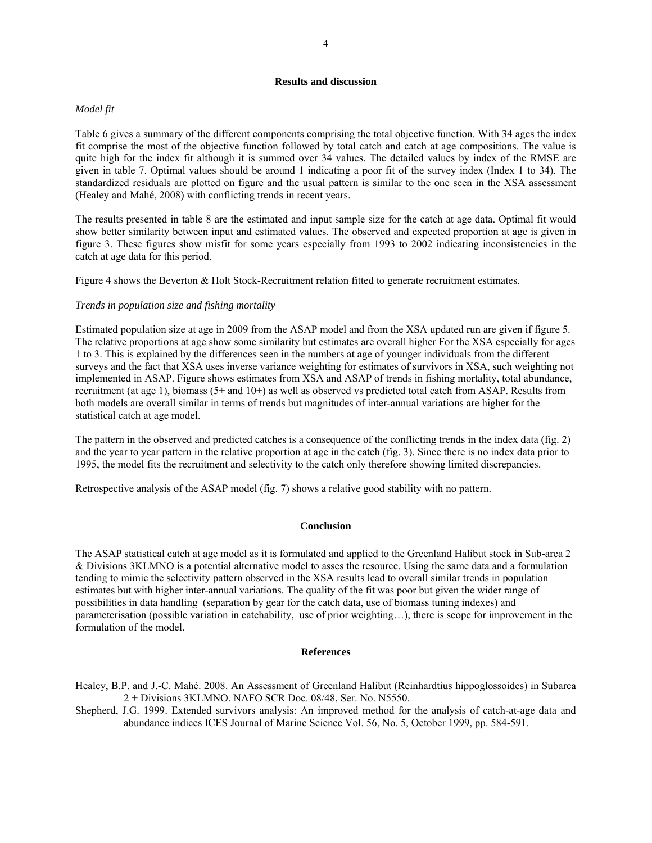# **Results and discussion**

### *Model fit*

Table 6 gives a summary of the different components comprising the total objective function. With 34 ages the index fit comprise the most of the objective function followed by total catch and catch at age compositions. The value is quite high for the index fit although it is summed over 34 values. The detailed values by index of the RMSE are given in table 7. Optimal values should be around 1 indicating a poor fit of the survey index (Index 1 to 34). The standardized residuals are plotted on figure and the usual pattern is similar to the one seen in the XSA assessment (Healey and Mahé, 2008) with conflicting trends in recent years.

The results presented in table 8 are the estimated and input sample size for the catch at age data. Optimal fit would show better similarity between input and estimated values. The observed and expected proportion at age is given in figure 3. These figures show misfit for some years especially from 1993 to 2002 indicating inconsistencies in the catch at age data for this period.

Figure 4 shows the Beverton & Holt Stock-Recruitment relation fitted to generate recruitment estimates.

## *Trends in population size and fishing mortality*

Estimated population size at age in 2009 from the ASAP model and from the XSA updated run are given if figure 5. The relative proportions at age show some similarity but estimates are overall higher For the XSA especially for ages 1 to 3. This is explained by the differences seen in the numbers at age of younger individuals from the different surveys and the fact that XSA uses inverse variance weighting for estimates of survivors in XSA, such weighting not implemented in ASAP. Figure shows estimates from XSA and ASAP of trends in fishing mortality, total abundance, recruitment (at age 1), biomass (5+ and 10+) as well as observed vs predicted total catch from ASAP. Results from both models are overall similar in terms of trends but magnitudes of inter-annual variations are higher for the statistical catch at age model.

The pattern in the observed and predicted catches is a consequence of the conflicting trends in the index data (fig. 2) and the year to year pattern in the relative proportion at age in the catch (fig. 3). Since there is no index data prior to 1995, the model fits the recruitment and selectivity to the catch only therefore showing limited discrepancies.

Retrospective analysis of the ASAP model (fig. 7) shows a relative good stability with no pattern.

# **Conclusion**

The ASAP statistical catch at age model as it is formulated and applied to the Greenland Halibut stock in Sub-area 2 & Divisions 3KLMNO is a potential alternative model to asses the resource. Using the same data and a formulation tending to mimic the selectivity pattern observed in the XSA results lead to overall similar trends in population estimates but with higher inter-annual variations. The quality of the fit was poor but given the wider range of possibilities in data handling (separation by gear for the catch data, use of biomass tuning indexes) and parameterisation (possible variation in catchability, use of prior weighting…), there is scope for improvement in the formulation of the model.

#### **References**

Healey, B.P. and J.-C. Mahé. 2008. An Assessment of Greenland Halibut (Reinhardtius hippoglossoides) in Subarea 2 + Divisions 3KLMNO. NAFO SCR Doc. 08/48, Ser. No. N5550.

Shepherd, J.G. 1999. Extended survivors analysis: An improved method for the analysis of catch-at-age data and abundance indices ICES Journal of Marine Science Vol. 56, No. 5, October 1999, pp. 584-591.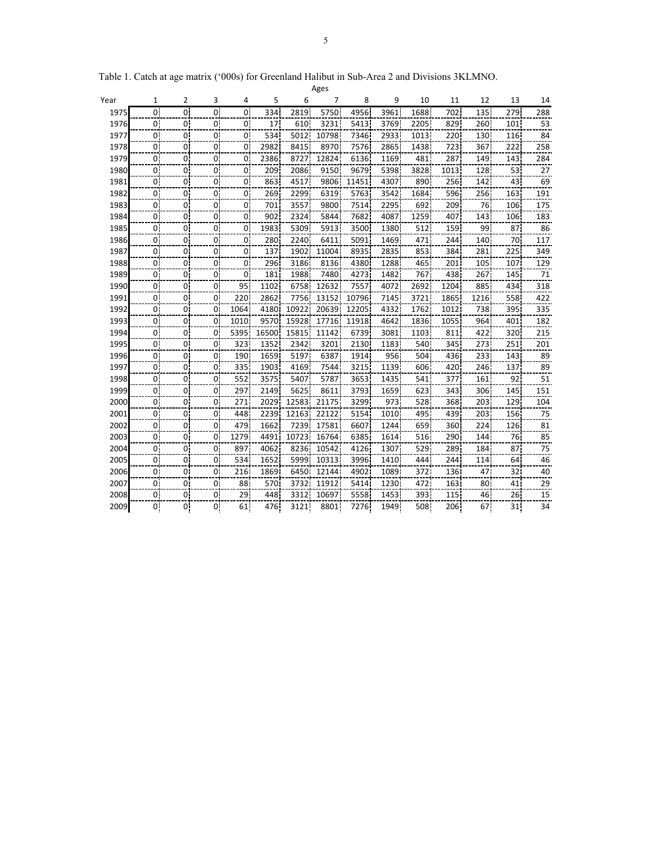| Ages |                |                |                |                |       |       |       |       |      |      |      |      |                 |                |
|------|----------------|----------------|----------------|----------------|-------|-------|-------|-------|------|------|------|------|-----------------|----------------|
| Year | 1              | 2              | 3              | 4              | 5     | 6     | 7     | 8     | 9    | 10   | 11   | 12   | 13              | 14             |
| 1975 | 0 <sup>1</sup> | 0 <sub>i</sub> | 0 <sub>i</sub> | $\overline{0}$ | 334   | 2819  | 5750  | 4956  | 3961 | 1688 | 702  | 135  | 279             | 288            |
| 1976 | 0 <sub>i</sub> | 0!             | 0 <sup>1</sup> | 0!             | 17    | 610   | 3231  | 5413  | 3769 | 2205 | 829  | 260  | 101             | 53             |
| 1977 | 0.             | 0 <sup>1</sup> | 0 <sup>1</sup> | 0.             | 534   | 5012  | 10798 | 7346  | 2933 | 1013 | 220  | 130  | 116             | 84             |
| 1978 | 0 <sub>1</sub> | $\overline{0}$ | $\overline{0}$ | 0              | 2982  | 8415  | 8970  | 7576  | 2865 | 1438 | 723  | 367  | 222             | 258            |
| 1979 | 0i             | 0              | $\overline{0}$ | 0              | 2386  | 8727  | 12824 | 6136  | 1169 | 481  | 287  | 149  | 143             | 284            |
| 1980 | 0 <sup>1</sup> | 0.             | $\overline{0}$ | 0.             | 209   | 2086  | 9150  | 9679  | 5398 | 3828 | 1013 | 128  | 53              | $\frac{27}{1}$ |
| 1981 | 0 <sup>1</sup> | 0.             | 0 <sup>1</sup> | 0.             | 863   | 4517  | 9806  | 11451 | 4307 | 890  | 256  | 142  | 43              | 69             |
| 1982 | $0^{\dagger}$  | 0.             | 0 <sup>1</sup> | 0              | 269   | 2299  | 6319  | 5763  | 3542 | 1684 | 596  | 256  | 163             | 191            |
| 1983 | 0.             | 0.             | 0              | 0.             | 701   | 3557  | 9800  | 7514  | 2295 | 692  | 209  | 76   | 106             | 175            |
| 1984 | 0i             | 0.             | 01             | 0.             | 902   | 2324  | 5844  | 7682  | 4087 | 1259 | 407  | 143  | 106             | 183            |
| 1985 | 0 <sub>1</sub> | 0.             | $\mathbf{0}$   | 0.             | 1983  | 5309  | 5913  | 3500  | 1380 | 512  | 159  | 99   | 87              | 86             |
| 1986 | 0 <sup>1</sup> | 0.             | 0 <sup>1</sup> | 0.             | 280   | 2240  | 6411  | 5091  | 1469 | 471  | 244  | 140  | 70              | 117            |
| 1987 | 01             | 0.             | 0              | 0              | 137   | 1902  | 11004 | 8935  | 2835 | 853  | 384  | 281  | 225             | 349            |
| 1988 | 0i             | 0              | 0 <sup>i</sup> | 0              | 296   | 3186  | 8136  | 4380  | 1288 | 465  | 201  | 105  | 107             | 129            |
| 1989 | $\mathbf{0}$   | 0.             | 0 <sup>1</sup> | 0.             | 181   | 1988  | 7480  | 4273  | 1482 | 767  | 438  | 267  | 145             | 71             |
| 1990 | 0              | 0.             | 0 <sup>1</sup> | 95             | 1102  | 6758  | 12632 | 7557  | 4072 | 2692 | 1204 | 885  | 434             | 318            |
| 1991 | 0              | 0              | $\Omega$       | 220            | 2862  | 7756  | 13152 | 10796 | 7145 | 3721 | 1865 | 1216 | 558             | 422            |
| 1992 | 0              | 0              | 0              | 1064           | 4180  | 10922 | 20639 | 12205 | 4332 | 1762 | 1012 | 738  | 395             | 335            |
| 1993 | 0i             | 0              | $\overline{0}$ | 1010           | 9570  | 15928 | 17716 | 11918 | 4642 | 1836 | 1055 | 964  | 401             | 182            |
| 1994 | 0 <sub>1</sub> | 0.             | $\overline{0}$ | 5395           | 16500 | 15815 | 11142 | 6739  | 3081 | 1103 | 811  | 422  | 320             | 215            |
| 1995 | 0!             | 0.             | 0 <sup>1</sup> | 323            | 1352  | 2342  | 3201  | 2130  | 1183 | 540  | 345  | 273  | 251             | 201            |
| 1996 | 0 <sup>1</sup> | 0              | 0 <sup>1</sup> | 190            | 1659  | 5197  | 6387  | 1914  | 956  | 504  | 436  | 233  | 143             | 89             |
| 1997 | 0              | 0              | 0              | 335            | 1903  | 4169  | 7544  | 3215  | 1139 | 606  | 420  | 246  | 137             | 89             |
| 1998 | 0              | 0.             | $\mathbf{0}$   | 552            | 3575  | 5407  | 5787  | 3653  | 1435 | 541  | 377  | 161  | 92              | 51             |
| 1999 | 0 <sup>1</sup> | $\mathbf{0}$   | $\overline{0}$ | 297            | 2149  | 5625  | 8611  | 3793  | 1659 | 623  | 343  | 306  | 145             | 151            |
| 2000 | 0              | 0.             | $\overline{0}$ | 271            | 2029  | 12583 | 21175 | 3299  | 973  | 528  | 368  | 203  | 129             | 104            |
| 2001 | 0              | 0.             | 0 <sup>1</sup> | 448            | 2239  | 12163 | 22122 | 5154  | 1010 | 495  | 439  | 203  | 156             | 75             |
| 2002 | 0i             | 0              | 0              | 479            | 1662  | 7239  | 17581 | 6607  | 1244 | 659  | 360  | 224  | 126             | 81             |
| 2003 | 0 <sup>1</sup> | 0.             | $\overline{0}$ | 1279           | 4491  | 10723 | 16764 | 6385  | 1614 | 516  | 290  | 144  | 76              | 85             |
| 2004 | 0 <sup>1</sup> | 0!             | 0.             | 897            | 4062  | 8236  | 10542 | 4126  | 1307 | 529  | 289  | 184  | 87              | 75             |
| 2005 | 01             | 0.             | 01             | 534            | 1652  | 5999  | 10313 | 3996  | 1410 | 444  | 244  | 114  | 64              | $\frac{46}{1}$ |
| 2006 | 01             | 0.             | 01             | 216            | 1869  | 6450  | 12144 | 4902  | 1089 | 372  | 136  | 47   | 32 I            | $\frac{40}{1}$ |
| 2007 | $\overline{0}$ | 0.             | 0.             | 88             | 570   | 3732  | 11912 | 5414  | 1230 | 472  | 163  | 80   | 41              | $\frac{29}{2}$ |
| 2008 | 0 <sup>1</sup> | 0.             | 0.             | 29             | 448   | 3312  | 10697 | 5558  | 1453 | 393  | 115  | 46   | 26.             | 15             |
| 2009 | 0              | 0¦             | 0.             | 61             | 476   | 3121  | 8801  | 7276. | 1949 | 508  | 206  | 67.  | 31 <sub>1</sub> | 34             |

Table 1. Catch at age matrix ('000s) for Greenland Halibut in Sub-Area 2 and Divisions 3KLMNO.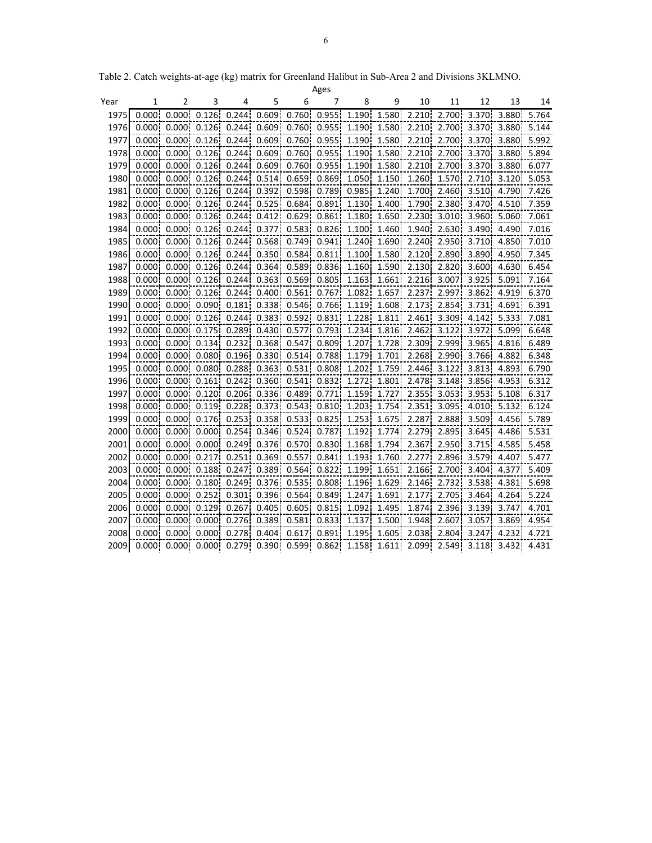|      |        |        |                                           |        |                                    |                   | Ages  |        |             |                   |                    |                |                   |       |
|------|--------|--------|-------------------------------------------|--------|------------------------------------|-------------------|-------|--------|-------------|-------------------|--------------------|----------------|-------------------|-------|
| Year | 1      | 2      | 3                                         | 4      | 5                                  | 6                 | 7     | 8      | 9           | 10                | 11                 | 12             | 13                | 14    |
| 1975 | 0.0001 | 0.0001 | 0.126                                     | 0.244  | 0.609                              | 0.760             | 0.955 | 1.190  | 1.580       | 2.210             | 2.700              | 3.370          | 3.880             | 5.764 |
| 1976 |        |        | $0.000 \quad 0.000 \quad 0.126$           |        | $0.244$ $0.609$ $0.760$ $0.955$    |                   |       | 1.190  | 1.580       | 2.210             | 2.700              | 3.370          | 3.880             | 5.144 |
| 1977 |        |        | $0.000 \quad 0.000 \quad 0.126$           | 0.2441 | 0.6091                             | 0.760             | 0.955 | 1.1901 | 1.580       | 2.210             | 2.700              | 3.370          | 3.880             | 5.992 |
| 1978 |        |        | $0.000$ $0.000$ $0.126$                   | 0.244  | 0.609                              | 0.760             | 0.955 | 1.190  | 1.580       | 2.210             | 2.700              | 3.370          | 3.880             | 5.894 |
| 1979 |        |        | $0.0001$ $0.0001$ $0.1261$                | 0.2441 |                                    | $0.609$ , $0.760$ | 0.955 | 1.190  | 1.580       | 2.210             | 2.700 <sup>i</sup> | 3.370i         | 3.8801            | 6.077 |
| 1980 |        |        | $0.000$ $0.000$ $0.126$                   |        | 0.244   0.514   0.659   0.869   0. |                   |       |        |             | 1.050 1.150 1.260 | 1.570              |                | 2.710 3.120 5.053 |       |
| 1981 |        |        | $0.000$ $0.000$ $0.126$                   | 0.244  | 0.392                              | 0.598             | 0.789 | 0.985  | 1.240       | 1.700             | 2.460              | 3.510          | 4.790             | 7.426 |
| 1982 |        |        | 0.000 0.000 0.126 0.244 0.525 0.684 0.891 |        |                                    |                   |       |        |             | 1.130 1.400 1.790 | 2.380              | 3.470          | 4.510             | 7.359 |
| 1983 |        |        | $0.000$ $0.000$ $0.126$                   | 0.244  |                                    | $0.412$ $0.629$   | 0.861 | 1.180  | 1.650       | 2.230             | 3.010              | 3.960          | 5.060             | 7.061 |
| 1984 |        |        | 0.000 0.000 0.126 0.244 0.377 0.583       |        |                                    |                   | 0.826 |        |             | 1.100 1.460 1.940 | 2.630              | 3.490          | 4.490             | 7.016 |
| 1985 |        |        | $0.000$ $0.000$ $0.126$                   | 0.244  | 0.568                              | 0.749             | 0.941 | 1.240  | 1.690       | 2.240             | 2.950              | 3.710          | 4.8501            | 7.010 |
| 1986 |        |        | 0.000 0.000 0.126 0.244 0.350 0.584 0.811 |        |                                    |                   |       |        | 1.100 1.580 | 2.120             | 2.890              | 3.890          | 4.950             | 7.345 |
| 1987 |        |        | 0.000 0.000 0.126 0.244 0.364 0.589       |        |                                    |                   | 0.836 |        |             | 1.160 1.590 2.130 | 2.820              | 3.600 <b>l</b> | 4.630             | 6.454 |
| 1988 | 0.0001 |        | $0.000$ $0.126$                           | 0.244  | 0.363                              | 0.569             | 0.805 | 1.163  | 1.661       | 2.216             | 3.007              | 3.925          | 5.091             | 7.164 |
| 1989 | 0.0001 |        | $0.000$ , $0.126$                         | 0.244  | 0.400                              | 0.561             | 0.767 | 1.082  | 1.657       | 2.237             | 2.997              | 3.862          | 4.919             | 6.370 |
| 1990 |        |        | $0.000$ $0.000$ $0.090$                   | 0.181  |                                    | $0.338$ , $0.546$ | 0.766 | 1.119  | 1.608       | 2.173             | 2.854              | 3.731          | 4.691             | 6.391 |
| 1991 |        |        | $0.000$ $0.000$ $0.126$                   |        | $0.244$ $0.383$ $0.592$            |                   | 0.831 | 1.228  | 1.811       | 2.461             | 3.309              | 4.142          | 5.3331            | 7.081 |
| 1992 |        |        | 0.000 0.000 0.175                         | 0.289  |                                    | 0.430 0.577       | 0.793 | 1.234  | 1.816       | 2.462             | 3.122              | 3.972          | 5.099             | 6.648 |
| 1993 | 0.000  |        | $0.0001$ $0.134$                          | 0.232  | 0.368                              | 0.547             | 0.809 | 1.207  | 1.728       | 2.309             | 2.999              | 3.965          | 4.816             | 6.489 |
| 1994 | 0.000  |        | $0.000$ $0.080$                           | 0.196  |                                    | $0.330$ $0.514$   | 0.788 | 1.179  | 1.701       | 2.268             | 2.990              | 3.766          | 4.882             | 6.348 |
| 1995 | 0.0001 | 0.000  | 0.080!                                    | 0.288  | 0.363                              | 0.531             | 0.808 | 1.202  | 1.759       | 2.446             | 3.122              | 3.813          | 4.893             | 6.790 |
| 1996 | 0.000  | 0.000! | 0.161                                     | 0.242  | 0.360                              | 0.541             | 0.832 | 1.272  | 1.801       | 2.478             | 3.148              | 3.856          | 4.953             | 6.312 |
| 1997 | 0.000  | 0.0001 | 0.120                                     | 0.206  | 0.336                              | 0.489             | 0.771 | 1.159  | 1.727       | 2.355             | 3.053              | 3.953          | 5.108             | 6.317 |
| 1998 | 0.0001 | 0.0001 | 0.119                                     | 0.228  | 0.373                              | 0.543             | 0.810 | 1.203  | 1.754       | 2.351             | 3.095              | 4.010          | 5.132             | 6.124 |
| 1999 | 0.000. | 0.000! | 0.176                                     | 0.253  | 0.358                              | 0.533             | 0.825 | 1.253  | 1.675       | 2.287             | 2.888              | 3.509          | 4.456             | 5.789 |
| 2000 | 0.000  | 0.000! | 0.000                                     | 0.254  | 0.346                              | 0.524             | 0.787 | 1.192  | 1.774       | 2.279             | 2.895              | 3.645          | 4.486             | 5.531 |
| 2001 | 0.000  | 0.0001 | 0.000                                     | 0.249  | 0.376                              | 0.570             | 0.830 | 1.168  | 1.794       | 2.367             | 2.950              | 3.715          | 4.585             | 5.458 |
| 2002 | 0.0001 | 0.0001 | 0.217                                     | 0.251  | 0.369                              | 0.557             | 0.841 | 1.193  | 1.760       | 2.277             | 2.896              | 3.579          | 4.407             | 5.477 |
| 2003 | 0.0001 | 0.000! | 0.188                                     | 0.247  | 0.389                              | 0.564             | 0.822 | 1.199  | 1.651       | 2.166             | 2.700              | 3.404          | 4.377             | 5.409 |
| 2004 | 0.000  | 0.000! | 0.180                                     | 0.249  | 0.376                              | 0.535             | 0.808 | 1.196  | 1.629       | 2.146             | 2.732              | 3.538          | 4.381             | 5.698 |
| 2005 | 0.000  | 0.000! | 0.252                                     | 0.301  | 0.396                              | 0.564             | 0.849 | 1.247  | 1.691       | 2.177             | 2.705              | 3.464          | 4.264             | 5.224 |
| 2006 | 0.000  | 0.000  | 0.129                                     | 0.267  | 0.405                              | 0.605             | 0.815 | 1.092  | 1.495       | 1.874             | 2.396              | 3.139          | 3.747             | 4.701 |
| 2007 | 0.000  | 0.0001 | 0.000                                     | 0.276  | 0.389                              | 0.581             | 0.833 | 1.137  | 1.500       | 1.948             | 2.607              | 3.057          | 3.869             | 4.954 |
| 2008 | 0.0001 |        | 0.000 0.000                               | 0.2781 | 0.404                              | 0.617             | 0.891 | 1.195  | 1.605       | 2.038             | 2.804              | 3.247          | 4.232             | 4.721 |
| 2009 |        |        | $0.000$ $0.000$ $0.000$                   | 0.279  |                                    | $0.390$ $0.599$   | 0.862 | 1.158  | 1.611       | 2.099             | 2.549              | 3.118          | 3.432             | 4.431 |

Table 2. Catch weights-at-age (kg) matrix for Greenland Halibut in Sub-Area 2 and Divisions 3KLMNO.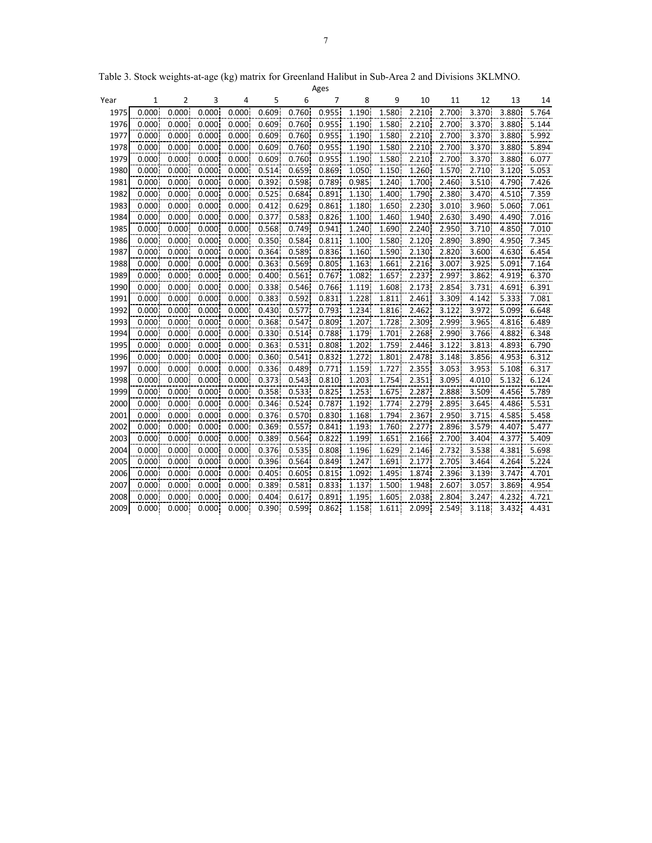|      |       |        |       |       |       |       | Ages  |       |       |       |       |       |       |       |
|------|-------|--------|-------|-------|-------|-------|-------|-------|-------|-------|-------|-------|-------|-------|
| Year | 1     | 2      | 3     | 4     | 5     | 6     | 7     | 8     | 9     | 10    | 11    | 12    | 13    | 14    |
| 1975 | 0.000 | 0.000  | 0.000 | 0.000 | 0.609 | 0.760 | 0.955 | 1.190 | 1.580 | 2.210 | 2.700 | 3.370 | 3.880 | 5.764 |
| 1976 | 0.000 | 0.000  | 0.000 | 0.000 | 0.609 | 0.760 | 0.955 | 1.190 | 1.580 | 2.210 | 2.700 | 3.370 | 3.880 | 5.144 |
| 1977 | 0.000 | 0.000  | 0.000 | 0.000 | 0.609 | 0.760 | 0.955 | 1.190 | 1.580 | 2.210 | 2.700 | 3.370 | 3.880 | 5.992 |
| 1978 | 0.000 | 0.000  | 0.000 | 0.000 | 0.609 | 0.760 | 0.955 | 1.190 | 1.580 | 2.210 | 2.700 | 3.370 | 3.880 | 5.894 |
| 1979 | 0.000 | 0.000  | 0.000 | 0.000 | 0.609 | 0.760 | 0.955 | 1.190 | 1.580 | 2.210 | 2.700 | 3.370 | 3.880 | 6.077 |
| 1980 | 0.000 | 0.000  | 0.000 | 0.000 | 0.514 | 0.659 | 0.869 | 1.050 | 1.150 | 1.260 | 1.570 | 2.710 | 3.120 | 5.053 |
| 1981 | 0.000 | 0.000  | 0.000 | 0.000 | 0.392 | 0.598 | 0.789 | 0.985 | 1.240 | 1.700 | 2.460 | 3.510 | 4.790 | 7.426 |
| 1982 | 0.000 | 0.000  | 0.000 | 0.000 | 0.525 | 0.684 | 0.891 | 1.130 | 1.400 | 1.790 | 2.380 | 3.470 | 4.510 | 7.359 |
| 1983 | 0.000 | 0.000  | 0.000 | 0.000 | 0.412 | 0.629 | 0.861 | 1.180 | 1.650 | 2.230 | 3.010 | 3.960 | 5.060 | 7.061 |
| 1984 | 0.000 | 0.000  | 0.000 | 0.000 | 0.377 | 0.583 | 0.826 | 1.100 | 1.460 | 1.940 | 2.630 | 3.490 | 4.490 | 7.016 |
| 1985 | 0.000 | 0.000  | 0.000 | 0.000 | 0.568 | 0.749 | 0.941 | 1.240 | 1.690 | 2.240 | 2.950 | 3.710 | 4.850 | 7.010 |
| 1986 | 0.000 | 0.000  | 0.000 | 0.000 | 0.350 | 0.584 | 0.811 | 1.100 | 1.580 | 2.120 | 2.890 | 3.890 | 4.950 | 7.345 |
| 1987 | 0.000 | 0.000  | 0.000 | 0.000 | 0.364 | 0.589 | 0.836 | 1.160 | 1.590 | 2.130 | 2.820 | 3.600 | 4.630 | 6.454 |
| 1988 | 0.000 | 0.000  | 0.000 | 0.000 | 0.363 | 0.569 | 0.805 | 1.163 | 1.661 | 2.216 | 3.007 | 3.925 | 5.091 | 7.164 |
| 1989 | 0.000 | 0.000  | 0.000 | 0.000 | 0.400 | 0.561 | 0.767 | 1.082 | 1.657 | 2.237 | 2.997 | 3.862 | 4.919 | 6.370 |
| 1990 | 0.000 | 0.000  | 0.000 | 0.000 | 0.338 | 0.546 | 0.766 | 1.119 | 1.608 | 2.173 | 2.854 | 3.731 | 4.691 | 6.391 |
| 1991 | 0.000 | 0.000  | 0.000 | 0.000 | 0.383 | 0.592 | 0.831 | 1.228 | 1.811 | 2.461 | 3.309 | 4.142 | 5.333 | 7.081 |
| 1992 | 0.000 | 0.0001 | 0.000 | 0.000 | 0.430 | 0.577 | 0.793 | 1.234 | 1.816 | 2.462 | 3.122 | 3.972 | 5.099 | 6.648 |
| 1993 | 0.000 | 0.000  | 0.000 | 0.000 | 0.368 | 0.547 | 0.809 | 1.207 | 1.728 | 2.309 | 2.999 | 3.965 | 4.816 | 6.489 |
| 1994 | 0.000 | 0.000  | 0.000 | 0.000 | 0.330 | 0.514 | 0.788 | 1.179 | 1.701 | 2.268 | 2.990 | 3.766 | 4.882 | 6.348 |
| 1995 | 0.000 | 0.000  | 0.000 | 0.000 | 0.363 | 0.531 | 0.808 | 1.202 | 1.759 | 2.446 | 3.122 | 3.813 | 4.893 | 6.790 |
| 1996 | 0.000 | 0.000  | 0.000 | 0.000 | 0.360 | 0.541 | 0.832 | 1.272 | 1.801 | 2.478 | 3.148 | 3.856 | 4.953 | 6.312 |
| 1997 | 0.000 | 0.000  | 0.000 | 0.000 | 0.336 | 0.489 | 0.771 | 1.159 | 1.727 | 2.355 | 3.053 | 3.953 | 5.108 | 6.317 |
| 1998 | 0.000 | 0.000  | 0.000 | 0.000 | 0.373 | 0.543 | 0.810 | 1.203 | 1.754 | 2.351 | 3.095 | 4.010 | 5.132 | 6.124 |
| 1999 | 0.000 | 0.000  | 0.000 | 0.000 | 0.358 | 0.533 | 0.825 | 1.253 | 1.675 | 2.287 | 2.888 | 3.509 | 4.456 | 5.789 |
| 2000 | 0.000 | 0.000  | 0.000 | 0.000 | 0.346 | 0.524 | 0.787 | 1.192 | 1.774 | 2.279 | 2.895 | 3.645 | 4.486 | 5.531 |
| 2001 | 0.000 | 0.000  | 0.000 | 0.000 | 0.376 | 0.570 | 0.830 | 1.168 | 1.794 | 2.367 | 2.950 | 3.715 | 4.585 | 5.458 |
| 2002 | 0.000 | 0.000  | 0.000 | 0.000 | 0.369 | 0.557 | 0.841 | 1.193 | 1.760 | 2.277 | 2.896 | 3.579 | 4.407 | 5.477 |
| 2003 | 0.000 | 0.000  | 0.000 | 0.000 | 0.389 | 0.564 | 0.822 | 1.199 | 1.651 | 2.166 | 2.700 | 3.404 | 4.377 | 5.409 |
| 2004 | 0.000 | 0.000  | 0.000 | 0.000 | 0.376 | 0.535 | 0.808 | 1.196 | 1.629 | 2.146 | 2.732 | 3.538 | 4.381 | 5.698 |
| 2005 | 0.000 | 0.000  | 0.000 | 0.000 | 0.396 | 0.564 | 0.849 | 1.247 | 1.691 | 2.177 | 2.705 | 3.464 | 4.264 | 5.224 |
| 2006 | 0.000 | 0.000  | 0.000 | 0.000 | 0.405 | 0.605 | 0.815 | 1.092 | 1.495 | 1.874 | 2.396 | 3.139 | 3.747 | 4.701 |
| 2007 | 0.000 | 0.000  | 0.000 | 0.000 | 0.389 | 0.581 | 0.833 | 1.137 | 1.500 | 1.948 | 2.607 | 3.057 | 3.869 | 4.954 |
| 2008 | 0.000 | 0.000  | 0.000 | 0.000 | 0.404 | 0.617 | 0.891 | 1.195 | 1.605 | 2.038 | 2.804 | 3.247 | 4.232 | 4.721 |
| 2009 | 0.000 | 0.000  | 0.000 | 0.000 | 0.390 | 0.599 | 0.862 | 1.158 | 1.611 | 2.099 | 2.549 | 3.118 | 3.432 | 4.431 |

Table 3. Stock weights-at-age (kg) matrix for Greenland Halibut in Sub-Area 2 and Divisions 3KLMNO.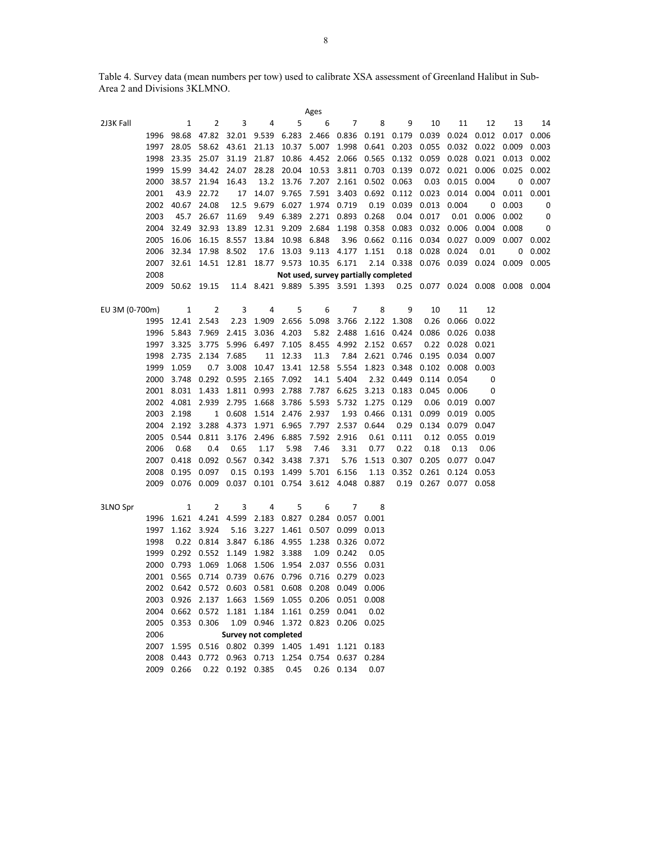Table 4. Survey data (mean numbers per tow) used to calibrate XSA assessment of Greenland Halibut in Sub-Area 2 and Divisions 3KLMNO.

| Ages           |                       |                                                                                                               |                  |                                                                      |                   |                         |                                             |       |                        |                                                       |                             |               |                                                                               |       |  |
|----------------|-----------------------|---------------------------------------------------------------------------------------------------------------|------------------|----------------------------------------------------------------------|-------------------|-------------------------|---------------------------------------------|-------|------------------------|-------------------------------------------------------|-----------------------------|---------------|-------------------------------------------------------------------------------|-------|--|
| 2J3K Fall      | 1                     | 2                                                                                                             | 3                | 4                                                                    | 5                 | 6                       | 7                                           | 8     | 9                      | 10                                                    | 11                          | 12            | 13                                                                            | 14    |  |
| 1996           |                       | 98.68 47.82 32.01 9.539 6.283 2.466 0.836 0.191 0.179 0.039 0.024 0.012 0.017                                 |                  |                                                                      |                   |                         |                                             |       |                        |                                                       |                             |               |                                                                               | 0.006 |  |
| 1997           |                       | 28.05 58.62 43.61 21.13                                                                                       |                  |                                                                      |                   |                         |                                             |       |                        |                                                       |                             |               | 10.37 5.007 1.998 0.641 0.203 0.055 0.032 0.022 0.009 0.003                   |       |  |
| 1998           | 23.35                 | 25.07                                                                                                         |                  | 31.19 21.87                                                          |                   |                         |                                             |       |                        |                                                       |                             |               | 10.86 4.452 2.066 0.565 0.132 0.059 0.028 0.021 0.013 0.002                   |       |  |
| 1999           | 15.99                 |                                                                                                               |                  |                                                                      |                   |                         |                                             |       |                        |                                                       |                             |               | 34.42 24.07 28.28 20.04 10.53 3.811 0.703 0.139 0.072 0.021 0.006 0.025 0.002 |       |  |
| 2000           | 38.57                 | 21.94                                                                                                         | 16.43            |                                                                      |                   |                         | 13.2 13.76 7.207 2.161 0.502 0.063          |       |                        | 0.03                                                  | 0.015 0.004                 |               | 0                                                                             | 0.007 |  |
| 2001           | 43.9                  | 22.72                                                                                                         | 17               | 14.07                                                                |                   |                         |                                             |       |                        | 9.765 7.591 3.403 0.692 0.112 0.023 0.014 0.004 0.011 |                             |               |                                                                               | 0.001 |  |
|                | 2002 40.67            | 24.08                                                                                                         | 12.5             |                                                                      |                   | 9.679 6.027 1.974 0.719 |                                             |       | 0.19 0.039             | 0.013 0.004                                           |                             |               | $0\quad 0.003$                                                                | 0     |  |
| 2003           | 45.7                  | 26.67                                                                                                         | 11.69            |                                                                      | 9.49 6.389        |                         | 2.271 0.893 0.268                           |       | 0.04                   | 0.017                                                 | 0.01                        |               | $0.006$ 0.002                                                                 | 0     |  |
| 2004           | 32.49                 | 32.93                                                                                                         | 13.89            |                                                                      |                   |                         | 12.31 9.209 2.684 1.198 0.358 0.083         |       |                        |                                                       | 0.032 0.006                 | 0.004         | 0.008                                                                         | 0     |  |
| 2005           | 16.06                 |                                                                                                               | 16.15 8.557      |                                                                      | 13.84 10.98 6.848 |                         |                                             |       | 3.96  0.662  0.116     |                                                       | 0.034 0.027                 | 0.009         | $0.007$ 0.002                                                                 |       |  |
| 2006           | 32.34                 | 17.98                                                                                                         | 8.502            |                                                                      |                   |                         | 17.6 13.03 9.113 4.177 1.151                |       |                        | 0.18  0.028  0.024                                    |                             | 0.01          | 0                                                                             | 0.002 |  |
| 2007           |                       | 32.61 14.51 12.81 18.77 9.573 10.35 6.171                                                                     |                  |                                                                      |                   |                         |                                             |       |                        |                                                       |                             |               | 2.14 0.338 0.076 0.039 0.024 0.009 0.005                                      |       |  |
| 2008           |                       | Not used, survey partially completed<br>11.4 8.421 9.889 5.395 3.591 1.393 0.25 0.077 0.024 0.008 0.008 0.004 |                  |                                                                      |                   |                         |                                             |       |                        |                                                       |                             |               |                                                                               |       |  |
|                |                       | 2009 50.62 19.15                                                                                              |                  |                                                                      |                   |                         |                                             |       |                        |                                                       |                             |               |                                                                               |       |  |
|                |                       |                                                                                                               |                  |                                                                      |                   |                         |                                             |       |                        |                                                       |                             |               |                                                                               |       |  |
| EU 3M (0-700m) | 1<br>1995 12.41 2.543 | 2                                                                                                             | 3                | 4<br>1.909 2.656 5.098 3.766 2.122 1.308                             | 5                 | 6                       | 7                                           | 8     | 9                      | 10                                                    | 11                          | 12            |                                                                               |       |  |
|                |                       |                                                                                                               | 2.23             |                                                                      |                   |                         |                                             |       |                        |                                                       | 0.26 0.066                  | 0.022         |                                                                               |       |  |
| 1996           |                       | 5.843 7.969 2.415                                                                                             |                  | 5.996 6.497 7.105 8.455 4.992 2.152 0.657                            | 3.036 4.203       |                         | 5.82 2.488 1.616 0.424                      |       |                        | 0.086                                                 | $0.026$ 0.038<br>0.22 0.028 |               |                                                                               |       |  |
| 1997           | 3.325<br>2.735 2.134  | 3.775                                                                                                         | 7.685            |                                                                      |                   |                         |                                             |       |                        |                                                       | 0.195 0.034 0.007           | 0.021         |                                                                               |       |  |
| 1998           |                       |                                                                                                               | 3.008            |                                                                      | 11 12.33          | 11.3                    |                                             |       | 7.84 2.621 0.746       |                                                       |                             |               |                                                                               |       |  |
| 1999           | 1.059                 | 0.7<br>3.748  0.292  0.595  2.165  7.092                                                                      |                  | 10.47                                                                |                   |                         | 13.41 12.58 5.554 1.823 0.348<br>14.1 5.404 |       | 2.32 0.449             | 0.102                                                 | 0.008                       | 0.003         |                                                                               |       |  |
| 2000           |                       |                                                                                                               |                  |                                                                      |                   |                         |                                             |       |                        | 0.114                                                 | 0.054                       | 0             |                                                                               |       |  |
|                |                       | 2001 8.031 1.433 1.811 0.993 2.788 7.787 6.625 3.213 0.183 0.045<br>2002 4.081 2.939                          |                  |                                                                      | 1.668 3.786       |                         |                                             |       |                        |                                                       | 0.006                       | 0             |                                                                               |       |  |
|                |                       |                                                                                                               | 2.795            |                                                                      |                   |                         | 5.593 5.732 1.275 0.129                     |       |                        | 0.06                                                  | 0.019                       | 0.007         |                                                                               |       |  |
|                | 2003 2.198            |                                                                                                               | 1 0.608          |                                                                      | 1.514 2.476 2.937 |                         |                                             |       | 1.93 0.466 0.131       | 0.099                                                 | 0.019                       | 0.005         |                                                                               |       |  |
| 2004<br>2005   | 2.192 3.288           | 0.544   0.811                                                                                                 |                  | 4.373 1.971 6.965 7.797 2.537 0.644<br>3.176 2.496 6.885 7.592 2.916 |                   |                         |                                             |       | 0.29<br>$0.61$ $0.111$ | 0.134                                                 | 0.079 0.047                 |               |                                                                               |       |  |
| 2006           | 0.68                  | 0.4                                                                                                           | 0.65             | 1.17                                                                 | 5.98              | 7.46                    | 3.31                                        | 0.77  | 0.22                   | 0.12<br>0.18                                          | 0.055<br>0.13               | 0.019<br>0.06 |                                                                               |       |  |
| 2007           |                       | 0.418 0.092 0.567                                                                                             |                  |                                                                      | 0.342 3.438 7.371 |                         |                                             |       | 5.76 1.513 0.307       |                                                       | 0.205 0.077                 | 0.047         |                                                                               |       |  |
| 2008           |                       | 0.195 0.097                                                                                                   | 0.15             |                                                                      |                   | 0.193 1.499 5.701 6.156 |                                             |       | 1.13 0.352             |                                                       | 0.261 0.124                 | 0.053         |                                                                               |       |  |
|                |                       | 2009 0.076 0.009 0.037 0.101 0.754 3.612 4.048 0.887                                                          |                  |                                                                      |                   |                         |                                             |       |                        | 0.19 0.267 0.077 0.058                                |                             |               |                                                                               |       |  |
|                |                       |                                                                                                               |                  |                                                                      |                   |                         |                                             |       |                        |                                                       |                             |               |                                                                               |       |  |
| 3LNO Spr       | 1                     | 2                                                                                                             | 3                | 4                                                                    | 5                 | 6                       | 7                                           | 8     |                        |                                                       |                             |               |                                                                               |       |  |
| 1996           |                       | 1.621 4.241 4.599 2.183 0.827 0.284 0.057                                                                     |                  |                                                                      |                   |                         |                                             | 0.001 |                        |                                                       |                             |               |                                                                               |       |  |
| 1997           |                       | 1.162 3.924                                                                                                   | 5.16             | 3.227                                                                |                   | 1.461 0.507 0.099       |                                             | 0.013 |                        |                                                       |                             |               |                                                                               |       |  |
| 1998           |                       | 0.22 0.814                                                                                                    | 3.847            |                                                                      | 6.186 4.955       |                         | 1.238 0.326                                 | 0.072 |                        |                                                       |                             |               |                                                                               |       |  |
| 1999           |                       | 0.292 0.552 1.149                                                                                             |                  | 1.982 3.388                                                          |                   |                         | 1.09 0.242                                  | 0.05  |                        |                                                       |                             |               |                                                                               |       |  |
| 2000           | 0.793 1.069           |                                                                                                               | 1.068            |                                                                      |                   |                         | 1.506 1.954 2.037 0.556 0.031               |       |                        |                                                       |                             |               |                                                                               |       |  |
|                |                       | 2001  0.565  0.714  0.739  0.676  0.796  0.716  0.279  0.023                                                  |                  |                                                                      |                   |                         |                                             |       |                        |                                                       |                             |               |                                                                               |       |  |
|                |                       | 2002  0.642  0.572  0.603  0.581  0.608  0.208  0.049  0.006                                                  |                  |                                                                      |                   |                         |                                             |       |                        |                                                       |                             |               |                                                                               |       |  |
|                |                       | 2003 0.926 2.137 1.663 1.569 1.055 0.206 0.051                                                                |                  |                                                                      |                   |                         |                                             | 0.008 |                        |                                                       |                             |               |                                                                               |       |  |
|                |                       | 2004  0.662  0.572  1.181  1.184  1.161  0.259  0.041                                                         |                  |                                                                      |                   |                         |                                             | 0.02  |                        |                                                       |                             |               |                                                                               |       |  |
| 2005           | 0.353 0.306           |                                                                                                               |                  | 1.09  0.946  1.372  0.823  0.206  0.025                              |                   |                         |                                             |       |                        |                                                       |                             |               |                                                                               |       |  |
| 2006           |                       |                                                                                                               |                  | <b>Survey not completed</b>                                          |                   |                         |                                             |       |                        |                                                       |                             |               |                                                                               |       |  |
|                |                       | 2007 1.595 0.516 0.802 0.399 1.405 1.491 1.121 0.183                                                          |                  |                                                                      |                   |                         |                                             |       |                        |                                                       |                             |               |                                                                               |       |  |
| 2008           |                       | 0.443 0.772 0.963 0.713 1.254 0.754 0.637 0.284                                                               |                  |                                                                      |                   |                         |                                             |       |                        |                                                       |                             |               |                                                                               |       |  |
|                | 2009 0.266            |                                                                                                               | 0.22 0.192 0.385 |                                                                      | 0.45              |                         | 0.26 0.134                                  | 0.07  |                        |                                                       |                             |               |                                                                               |       |  |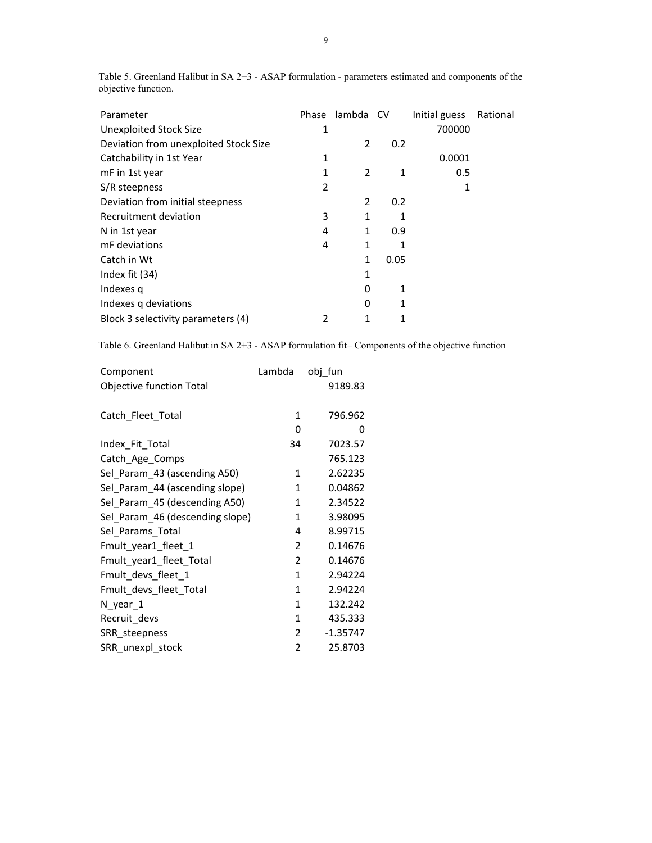| Parameter                             | Phase          | lambda CV |              | Initial guess | Rational |
|---------------------------------------|----------------|-----------|--------------|---------------|----------|
| <b>Unexploited Stock Size</b>         | 1              |           |              | 700000        |          |
| Deviation from unexploited Stock Size |                | 2         | 0.2          |               |          |
| Catchability in 1st Year              | 1              |           |              | 0.0001        |          |
| mF in 1st year                        | 1              | 2         | 1            | 0.5           |          |
| S/R steepness                         | 2              |           |              | 1             |          |
| Deviation from initial steepness      |                | 2         | 0.2          |               |          |
| Recruitment deviation                 | 3              | 1         | 1            |               |          |
| N in 1st year                         | 4              | 1         | 0.9          |               |          |
| mF deviations                         | 4              | 1         | 1            |               |          |
| Catch in Wt                           |                | 1         | 0.05         |               |          |
| Index fit (34)                        |                | 1         |              |               |          |
| Indexes q                             |                | 0         | $\mathbf{1}$ |               |          |
| Indexes q deviations                  |                | 0         | $\mathbf{1}$ |               |          |
| Block 3 selectivity parameters (4)    | $\overline{2}$ | 1         | 1            |               |          |

Table 5. Greenland Halibut in SA 2+3 - ASAP formulation - parameters estimated and components of the objective function.

Table 6. Greenland Halibut in SA 2+3 - ASAP formulation fit– Components of the objective function

| Component                       | Lambda         | obj_fun    |
|---------------------------------|----------------|------------|
| <b>Objective function Total</b> |                | 9189.83    |
| Catch_Fleet_Total               | 1              | 796.962    |
|                                 | 0              | 0          |
| Index_Fit_Total                 | 34             | 7023.57    |
| Catch_Age_Comps                 |                | 765.123    |
| Sel Param 43 (ascending A50)    | $\mathbf{1}$   | 2.62235    |
| Sel_Param_44 (ascending slope)  | 1              | 0.04862    |
| Sel Param 45 (descending A50)   | $\mathbf{1}$   | 2.34522    |
| Sel_Param_46 (descending slope) | $\mathbf{1}$   | 3.98095    |
| Sel_Params_Total                | 4              | 8.99715    |
| Fmult_year1_fleet_1             | 2              | 0.14676    |
| Fmult_year1_fleet_Total         | $\overline{2}$ | 0.14676    |
| Fmult_devs_fleet_1              | $\mathbf{1}$   | 2.94224    |
| Fmult_devs_fleet_Total          | $\mathbf{1}$   | 2.94224    |
| $N_year_1$                      | $\mathbf{1}$   | 132.242    |
| Recruit_devs                    | $\mathbf{1}$   | 435.333    |
| SRR_steepness                   | $\overline{2}$ | $-1.35747$ |
| SRR_unexpl_stock                | $\overline{2}$ | 25.8703    |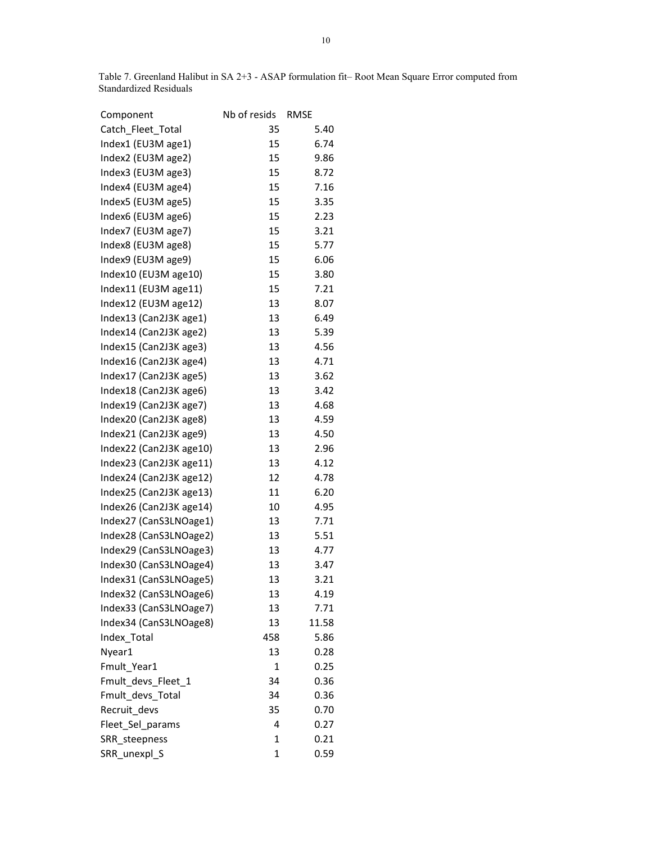Table 7. Greenland Halibut in SA 2+3 - ASAP formulation fit– Root Mean Square Error computed from Standardized Residuals

| Component               | Nb of resids | <b>RMSE</b> |
|-------------------------|--------------|-------------|
| Catch_Fleet_Total       | 35           | 5.40        |
| Index1 (EU3M age1)      | 15           | 6.74        |
| Index2 (EU3M age2)      | 15           | 9.86        |
| Index3 (EU3M age3)      | 15           | 8.72        |
| Index4 (EU3M age4)      | 15           | 7.16        |
| Index5 (EU3M age5)      | 15           | 3.35        |
| Index6 (EU3M age6)      | 15           | 2.23        |
| Index7 (EU3M age7)      | 15           | 3.21        |
| Index8 (EU3M age8)      | 15           | 5.77        |
| Index9 (EU3M age9)      | 15           | 6.06        |
| Index10 (EU3M age10)    | 15           | 3.80        |
| Index11 (EU3M age11)    | 15           | 7.21        |
| Index12 (EU3M age12)    | 13           | 8.07        |
| Index13 (Can2J3K age1)  | 13           | 6.49        |
| Index14 (Can2J3K age2)  | 13           | 5.39        |
| Index15 (Can2J3K age3)  | 13           | 4.56        |
| Index16 (Can2J3K age4)  | 13           | 4.71        |
| Index17 (Can2J3K age5)  | 13           | 3.62        |
| Index18 (Can2J3K age6)  | 13           | 3.42        |
| Index19 (Can2J3K age7)  | 13           | 4.68        |
| Index20 (Can2J3K age8)  | 13           | 4.59        |
| Index21 (Can2J3K age9)  | 13           | 4.50        |
| Index22 (Can2J3K age10) | 13           | 2.96        |
| Index23 (Can2J3K age11) | 13           | 4.12        |
| Index24 (Can2J3K age12) | 12           | 4.78        |
| Index25 (Can2J3K age13) | 11           | 6.20        |
| Index26 (Can2J3K age14) | 10           | 4.95        |
| Index27 (CanS3LNOage1)  | 13           | 7.71        |
| Index28 (CanS3LNOage2)  | 13           | 5.51        |
| Index29 (CanS3LNOage3)  | 13           | 4.77        |
| Index30 (CanS3LNOage4)  | 13           | 3.47        |
| Index31 (CanS3LNOage5)  | 13           | 3.21        |
| Index32 (CanS3LNOage6)  | 13           | 4.19        |
| Index33 (CanS3LNOage7)  | 13           | 7.71        |
| Index34 (CanS3LNOage8)  | 13           | 11.58       |
| Index_Total             | 458          | 5.86        |
| Nyear1                  | 13           | 0.28        |
| Fmult Year1             | 1            | 0.25        |
| Fmult_devs_Fleet_1      | 34           | 0.36        |
| Fmult_devs_Total        | 34           | 0.36        |
| Recruit_devs            | 35           | 0.70        |
| Fleet_Sel_params        | 4            | 0.27        |
| SRR steepness           | 1            | 0.21        |
| SRR_unexpl_S            | 1            | 0.59        |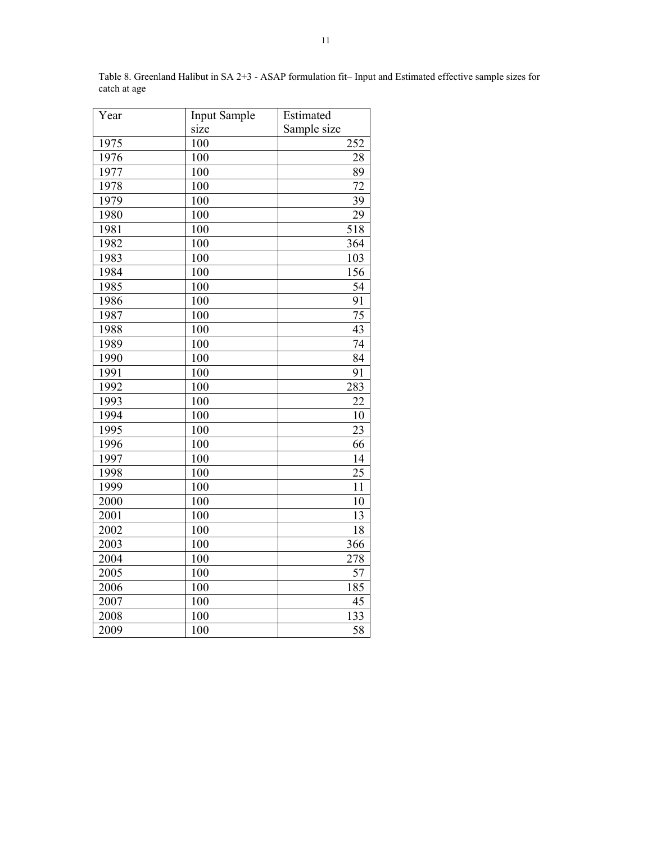| Year | <b>Input Sample</b> | Estimated       |
|------|---------------------|-----------------|
|      | size                | Sample size     |
| 1975 | 100                 | 252             |
| 1976 | 100                 | 28              |
| 1977 | 100                 | 89              |
| 1978 | 100                 | 72              |
| 1979 | 100                 | 39              |
| 1980 | 100                 | 29              |
| 1981 | 100                 | 518             |
| 1982 | 100                 | 364             |
| 1983 | 100                 | 103             |
| 1984 | 100                 | 156             |
| 1985 | 100                 | 54              |
| 1986 | 100                 | 91              |
| 1987 | 100                 | 75              |
| 1988 | 100                 | 43              |
| 1989 | 100                 | 74              |
| 1990 | 100                 | 84              |
| 1991 | 100                 | 91              |
| 1992 | 100                 | 283             |
| 1993 | 100                 | 22              |
| 1994 | 100                 | 10              |
| 1995 | 100                 | 23              |
| 1996 | 100                 | 66              |
| 1997 | 100                 | 14              |
| 1998 | 100                 | 25              |
| 1999 | 100                 | $\overline{11}$ |
| 2000 | 100                 | 10              |
| 2001 | 100                 | $\overline{13}$ |
| 2002 | 100                 | 18              |
| 2003 | 100                 | 366             |
| 2004 | 100                 | 278             |
| 2005 | 100                 | 57              |
| 2006 | 100                 | 185             |
| 2007 | 100                 | 45              |
| 2008 | 100                 | 133             |
| 2009 | 100                 | $\overline{58}$ |

Table 8. Greenland Halibut in SA 2+3 - ASAP formulation fit– Input and Estimated effective sample sizes for catch at age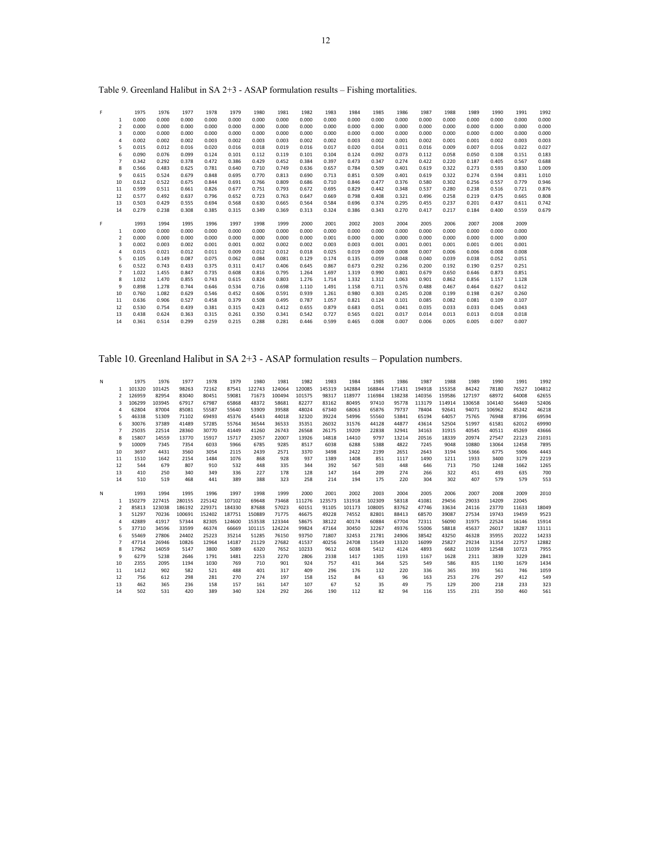| F |                | 1975  | 1976  | 1977  | 1978  | 1979  | 1980  | 1981  | 1982  | 1983  | 1984  | 1985  | 1986  | 1987  | 1988  | 1989  | 1990  | 1991  | 1992  |
|---|----------------|-------|-------|-------|-------|-------|-------|-------|-------|-------|-------|-------|-------|-------|-------|-------|-------|-------|-------|
|   | 1              | 0.000 | 0.000 | 0.000 | 0.000 | 0.000 | 0.000 | 0.000 | 0.000 | 0.000 | 0.000 | 0.000 | 0.000 | 0.000 | 0.000 | 0.000 | 0.000 | 0.000 | 0.000 |
|   | $\overline{2}$ | 0.000 | 0.000 | 0.000 | 0.000 | 0.000 | 0.000 | 0.000 | 0.000 | 0.000 | 0.000 | 0.000 | 0.000 | 0.000 | 0.000 | 0.000 | 0.000 | 0.000 | 0.000 |
|   | $\overline{3}$ | 0.000 | 0.000 | 0.000 | 0.000 | 0.000 | 0.000 | 0.000 | 0.000 | 0.000 | 0.000 | 0.000 | 0.000 | 0.000 | 0.000 | 0.000 | 0.000 | 0.000 | 0.000 |
|   | $\overline{4}$ | 0.002 | 0.002 | 0.002 | 0.003 | 0.002 | 0.003 | 0.003 | 0.002 | 0.002 | 0.003 | 0.002 | 0.001 | 0.002 | 0.001 | 0.001 | 0.002 | 0.003 | 0.003 |
|   | 5              | 0.015 | 0.012 | 0.016 | 0.020 | 0.016 | 0.018 | 0.019 | 0.016 | 0.017 | 0.020 | 0.014 | 0.011 | 0.016 | 0.009 | 0.007 | 0.016 | 0.022 | 0.027 |
|   | 6              | 0.090 | 0.076 | 0.099 | 0.124 | 0.101 | 0.112 | 0.119 | 0.101 | 0.104 | 0.124 | 0.092 | 0.073 | 0.112 | 0.058 | 0.050 | 0.108 | 0.151 | 0.183 |
|   | $\overline{7}$ | 0.342 | 0.292 | 0.378 | 0.472 | 0.386 | 0.429 | 0.452 | 0.384 | 0.397 | 0.473 | 0.347 | 0.274 | 0.422 | 0.220 | 0.187 | 0.405 | 0.567 | 0.688 |
|   | 8              | 0.566 | 0.483 | 0.625 | 0.781 | 0.640 | 0.710 | 0.749 | 0.636 | 0.657 | 0.784 | 0.509 | 0.401 | 0.619 | 0.322 | 0.273 | 0.593 | 0.830 | 1.009 |
|   | 9              | 0.615 | 0.524 | 0.679 | 0.848 | 0.695 | 0.770 | 0.813 | 0.690 | 0.713 | 0.851 | 0.509 | 0.401 | 0.619 | 0.322 | 0.274 | 0.594 | 0.831 | 1.010 |
|   | 10             | 0.612 | 0.522 | 0.675 | 0.844 | 0.691 | 0.766 | 0.809 | 0.686 | 0.710 | 0.846 | 0.477 | 0.376 | 0.580 | 0.302 | 0.256 | 0.557 | 0.779 | 0.946 |
|   | 11             | 0.599 | 0.511 | 0.661 | 0.826 | 0.677 | 0.751 | 0.793 | 0.672 | 0.695 | 0.829 | 0.442 | 0.348 | 0.537 | 0.280 | 0.238 | 0.516 | 0.721 | 0.876 |
|   | 12             | 0.577 | 0.492 | 0.637 | 0.796 | 0.652 | 0.723 | 0.763 | 0.647 | 0.669 | 0.798 | 0.408 | 0.321 | 0.496 | 0.258 | 0.219 | 0.475 | 0.665 | 0.808 |
|   | 13             | 0.503 | 0.429 | 0.555 | 0.694 | 0.568 | 0.630 | 0.665 | 0.564 | 0.584 | 0.696 | 0.374 | 0.295 | 0.455 | 0.237 | 0.201 | 0.437 | 0.611 | 0.742 |
|   | 14             | 0.279 | 0.238 | 0.308 | 0.385 | 0.315 | 0.349 | 0.369 | 0.313 | 0.324 | 0.386 | 0.343 | 0.270 | 0.417 | 0.217 | 0.184 | 0.400 | 0.559 | 0.679 |
|   |                |       |       |       |       |       |       |       |       |       |       |       |       |       |       |       |       |       |       |
| F |                | 1993  | 1994  | 1995  | 1996  | 1997  | 1998  | 1999  | 2000  | 2001  | 2002  | 2003  | 2004  | 2005  | 2006  | 2007  | 2008  | 2009  |       |
|   | 1              | 0.000 | 0.000 | 0.000 | 0.000 | 0.000 | 0.000 | 0.000 | 0.000 | 0.000 | 0.000 | 0.000 | 0.000 | 0.000 | 0.000 | 0.000 | 0.000 | 0.000 |       |
|   | $\overline{2}$ | 0.000 | 0.000 | 0.000 | 0.000 | 0.000 | 0.000 | 0.000 | 0.000 | 0.001 | 0.000 | 0.000 | 0.000 | 0.000 | 0.000 | 0.000 | 0.000 | 0.000 |       |
|   | $\overline{3}$ | 0.002 | 0.003 | 0.002 | 0.001 | 0.001 | 0.002 | 0.002 | 0.002 | 0.003 | 0.003 | 0.001 | 0.001 | 0.001 | 0.001 | 0.001 | 0.001 | 0.001 |       |
|   | $\overline{4}$ | 0.015 | 0.021 | 0.012 | 0.011 | 0.009 | 0.012 | 0.012 | 0.018 | 0.025 | 0.019 | 0.009 | 0.008 | 0.007 | 0.006 | 0.006 | 0.008 | 0.008 |       |
|   | 5              | 0.105 | 0.149 | 0.087 | 0.075 | 0.062 | 0.084 | 0.081 | 0.129 | 0.174 | 0.135 | 0.059 | 0.048 | 0.040 | 0.039 | 0.038 | 0.052 | 0.051 |       |
|   | 6              | 0.522 | 0.743 | 0.433 | 0.375 | 0.311 | 0.417 | 0.406 | 0.645 | 0.867 | 0.673 | 0.292 | 0.236 | 0.200 | 0.192 | 0.190 | 0.257 | 0.251 |       |
|   | 7              | 1.022 | 1.455 | 0.847 | 0.735 | 0.608 | 0.816 | 0.795 | 1.264 | 1.697 | 1.319 | 0.990 | 0.801 | 0.679 | 0.650 | 0.646 | 0.873 | 0.851 |       |
|   | 8              | 1.032 | 1.470 | 0.855 | 0.743 | 0.615 | 0.824 | 0.803 | 1.276 | 1.714 | 1.332 | 1.312 | 1.063 | 0.901 | 0.862 | 0.856 | 1.157 | 1.128 |       |
|   | 9              | 0.898 | 1.278 | 0.744 | 0.646 | 0.534 | 0.716 | 0.698 | 1.110 | 1.491 | 1.158 | 0.711 | 0.576 | 0.488 | 0.467 | 0.464 | 0.627 | 0.612 |       |
|   | 10             | 0.760 | 1.082 | 0.629 | 0.546 | 0.452 | 0.606 | 0.591 | 0.939 | 1.261 | 0.980 | 0.303 | 0.245 | 0.208 | 0.199 | 0.198 | 0.267 | 0.260 |       |
|   | 11             | 0.636 | 0.906 | 0.527 | 0.458 | 0.379 | 0.508 | 0.495 | 0.787 | 1.057 | 0.821 | 0.124 | 0.101 | 0.085 | 0.082 | 0.081 | 0.109 | 0.107 |       |
|   | 12             | 0.530 | 0.754 | 0.439 | 0.381 | 0.315 | 0.423 | 0.412 | 0.655 | 0.879 | 0.683 | 0.051 | 0.041 | 0.035 | 0.033 | 0.033 | 0.045 | 0.043 |       |
|   | 13             | 0.438 | 0.624 | 0.363 | 0.315 | 0.261 | 0.350 | 0.341 | 0.542 | 0.727 | 0.565 | 0.021 | 0.017 | 0.014 | 0.013 | 0.013 | 0.018 | 0.018 |       |
|   | 14             | 0.361 | 0.514 | 0.299 | 0.259 | 0.215 | 0.288 | 0.281 | 0.446 | 0.599 | 0.465 | 0.008 | 0.007 | 0.006 | 0.005 | 0.005 | 0.007 | 0.007 |       |
|   |                |       |       |       |       |       |       |       |       |       |       |       |       |       |       |       |       |       |       |

Table 9. Greenland Halibut in SA 2+3 - ASAP formulation results – Fishing mortalities.

# Table 10. Greenland Halibut in SA 2+3 - ASAP formulation results – Population numbers.

| N |                | 1975   | 1976   | 1977   | 1978   | 1979   | 1980   | 1981   | 1982   | 1983   | 1984   | 1985   | 1986   | 1987   | 1988   | 1989   | 1990   | 1991  | 1992   |
|---|----------------|--------|--------|--------|--------|--------|--------|--------|--------|--------|--------|--------|--------|--------|--------|--------|--------|-------|--------|
|   | 1              | 101320 | 101425 | 98263  | 72162  | 87541  | 122743 | 124064 | 120085 | 145319 | 142884 | 168844 | 171431 | 194918 | 155358 | 84242  | 78180  | 76527 | 104812 |
|   | $\mathfrak{p}$ | 126959 | 82954  | 83040  | 80451  | 59081  | 71673  | 100494 | 101575 | 98317  | 118977 | 116984 | 138238 | 140356 | 159586 | 127197 | 68972  | 64008 | 62655  |
|   |                | 106299 | 103945 | 67917  | 67987  | 65868  | 48372  | 58681  | 82277  | 83162  | 80495  | 97410  | 95778  | 113179 | 114914 | 130658 | 104140 | 56469 | 52406  |
|   | $\overline{4}$ | 62804  | 87004  | 85081  | 55587  | 55640  | 53909  | 39588  | 48024  | 67340  | 68063  | 65876  | 79737  | 78404  | 92641  | 94071  | 106962 | 85242 | 46218  |
|   | 5              | 46338  | 51309  | 71102  | 69493  | 45376  | 45443  | 44018  | 32320  | 39224  | 54996  | 55560  | 53841  | 65194  | 64057  | 75765  | 76948  | 87396 | 69594  |
|   | 6              | 30076  | 37389  | 41489  | 57285  | 55764  | 36544  | 36533  | 35351  | 26032  | 31576  | 44128  | 44877  | 43614  | 52504  | 51997  | 61581  | 62012 | 69990  |
|   | 7              | 25035  | 22514  | 28360  | 30770  | 41449  | 41260  | 26743  | 26568  | 26175  | 19209  | 22838  | 32941  | 34163  | 31915  | 40545  | 40511  | 45269 | 43666  |
|   | 8              | 15807  | 14559  | 13770  | 15917  | 15717  | 23057  | 22007  | 13926  | 14818  | 14410  | 9797   | 13214  | 20516  | 18339  | 20974  | 27547  | 22123 | 21031  |
|   | 9              | 10009  | 7345   | 7354   | 6033   | 5966   | 6785   | 9285   | 8517   | 6038   | 6288   | 5388   | 4822   | 7245   | 9048   | 10880  | 13064  | 12458 | 7895   |
|   | 10             | 3697   | 4431   | 3560   | 3054   | 2115   | 2439   | 2571   | 3370   | 3498   | 2422   | 2199   | 2651   | 2643   | 3194   | 5366   | 6775   | 5906  | 4443   |
|   | 11             | 1510   | 1642   | 2154   | 1484   | 1076   | 868    | 928    | 937    | 1389   | 1408   | 851    | 1117   | 1490   | 1211   | 1933   | 3400   | 3179  | 2219   |
|   | 12             | 544    | 679    | 807    | 910    | 532    | 448    | 335    | 344    | 392    | 567    | 503    | 448    | 646    | 713    | 750    | 1248   | 1662  | 1265   |
|   | 13             | 410    | 250    | 340    | 349    | 336    | 227    | 178    | 128    | 147    | 164    | 209    | 274    | 266    | 322    | 451    | 493    | 635   | 700    |
|   | 14             | 510    | 519    | 468    | 441    | 389    | 388    | 323    | 258    | 214    | 194    | 175    | 220    | 304    | 302    | 407    | 579    | 579   | 553    |
|   |                |        |        |        |        |        |        |        |        |        |        |        |        |        |        |        |        |       |        |
| N |                | 1993   | 1994   | 1995   | 1996   | 1997   | 1998   | 1999   | 2000   | 2001   | 2002   | 2003   | 2004   | 2005   | 2006   | 2007   | 2008   | 2009  | 2010   |
|   | 1              | 150279 | 227415 | 280155 | 225142 | 107102 | 69648  | 73468  | 111276 | 123573 | 131918 | 102309 | 58318  | 41081  | 29456  | 29033  | 14209  | 22045 |        |
|   | $\mathfrak{p}$ | 85813  | 123038 | 186192 | 229371 | 184330 | 87688  | 57023  | 60151  | 91105  | 101173 | 108005 | 83762  | 47746  | 33634  | 24116  | 23770  | 11633 | 18049  |
|   | 3              | 51297  | 70236  | 100691 | 152402 | 187751 | 150889 | 71775  | 46675  | 49228  | 74552  | 82801  | 88413  | 68570  | 39087  | 27534  | 19743  | 19459 | 9523   |
|   | $\overline{4}$ | 42889  | 41917  | 57344  | 82305  | 124600 | 153538 | 123344 | 58675  | 38122  | 40174  | 60884  | 67704  | 72311  | 56090  | 31975  | 22524  | 16146 | 15914  |
|   | 5              | 37710  | 34596  | 33599  | 46374  | 66669  | 101115 | 124224 | 99824  | 47164  | 30450  | 32267  | 49376  | 55006  | 58818  | 45637  | 26017  | 18287 | 13111  |
|   | 6              | 55469  | 27806  | 24402  | 25223  | 35214  | 51285  | 76150  | 93750  | 71807  | 32453  | 21781  | 24906  | 38542  | 43250  | 46328  | 35955  | 20222 | 14233  |
|   | 7              | 47714  | 26946  | 10826  | 12964  | 14187  | 21129  | 27682  | 41537  | 40256  | 24708  | 13549  | 13320  | 16099  | 25827  | 29234  | 31354  | 22757 | 12882  |
|   | 8              | 17962  | 14059  | 5147   | 3800   | 5089   | 6320   | 7652   | 10233  | 9612   | 6038   | 5412   | 4124   | 4893   | 6682   | 11039  | 12548  | 10723 | 7955   |
|   | 9              | 6279   | 5238   | 2646   | 1791   | 1481   | 2253   | 2270   | 2806   | 2338   | 1417   | 1305   | 1193   | 1167   | 1628   | 2311   | 3839   | 3229  | 2841   |
|   | 10             | 2355   | 2095   | 1194   | 1030   | 769    | 710    | 901    | 924    | 757    | 431    | 364    | 525    | 549    | 586    | 835    | 1190   | 1679  | 1434   |
|   | 11             | 1412   | 902    | 582    | 521    | 488    | 401    | 317    | 409    | 296    | 176    | 132    | 220    | 336    | 365    | 393    | 561    | 746   | 1059   |
|   | 12             | 756    | 612    | 298    | 281    | 270    | 274    | 197    | 158    | 152    | 84     | 63     | 96     | 163    | 253    | 276    | 297    | 412   | 549    |
|   | 13             | 462    | 365    | 236    | 158    | 157    | 161    | 147    | 107    | 67     | 52     | 35     | 49     | 75     | 129    | 200    | 218    | 233   | 323    |
|   | 14             | 502    | 531    | 420    | 389    | 340    | 324    | 292    | 266    | 190    | 112    | 82     | 94     | 116    | 155    | 231    | 350    | 460   | 561    |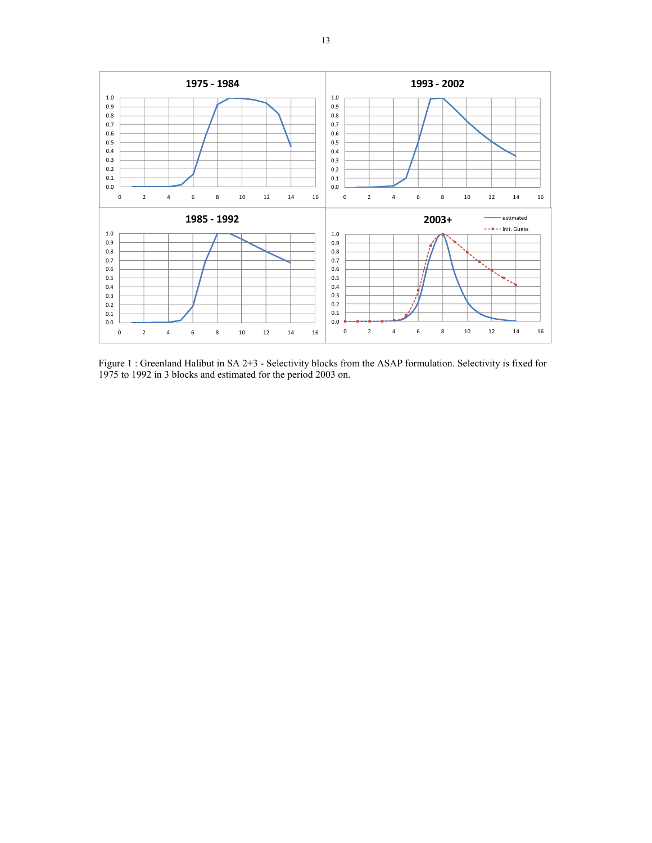

Figure 1 : Greenland Halibut in SA 2+3 - Selectivity blocks from the ASAP formulation. Selectivity is fixed for 1975 to 1992 in 3 blocks and estimated for the period 2003 on.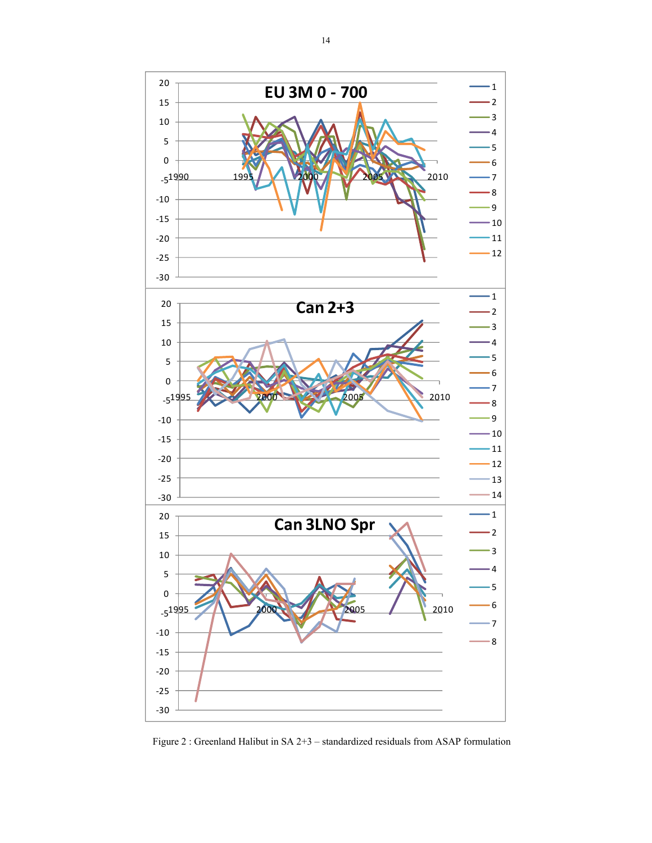

Figure 2 : Greenland Halibut in SA 2+3 – standardized residuals from ASAP formulation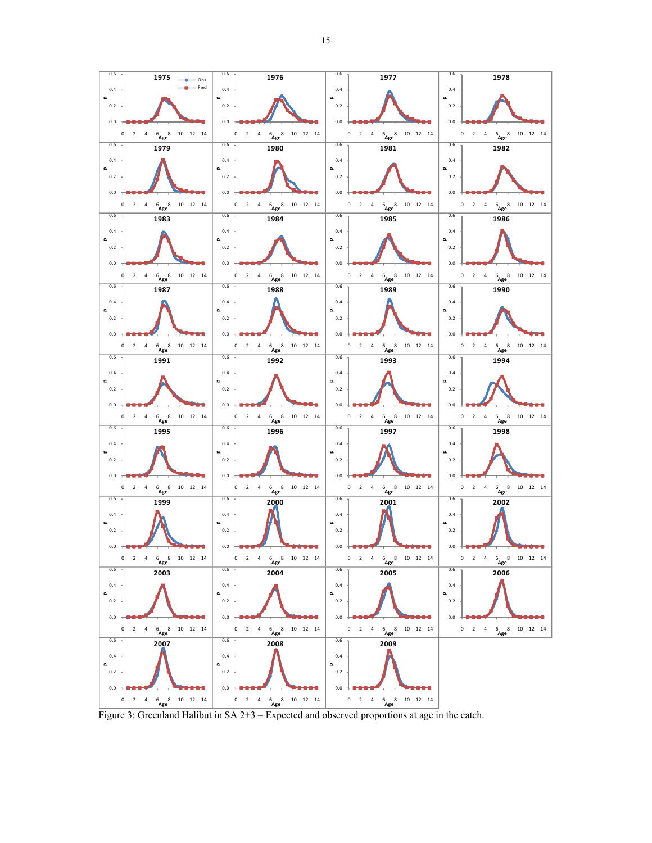

Figure 3: Greenland Halibut in SA 2+3 – Expected and observed proportions at age in the catch.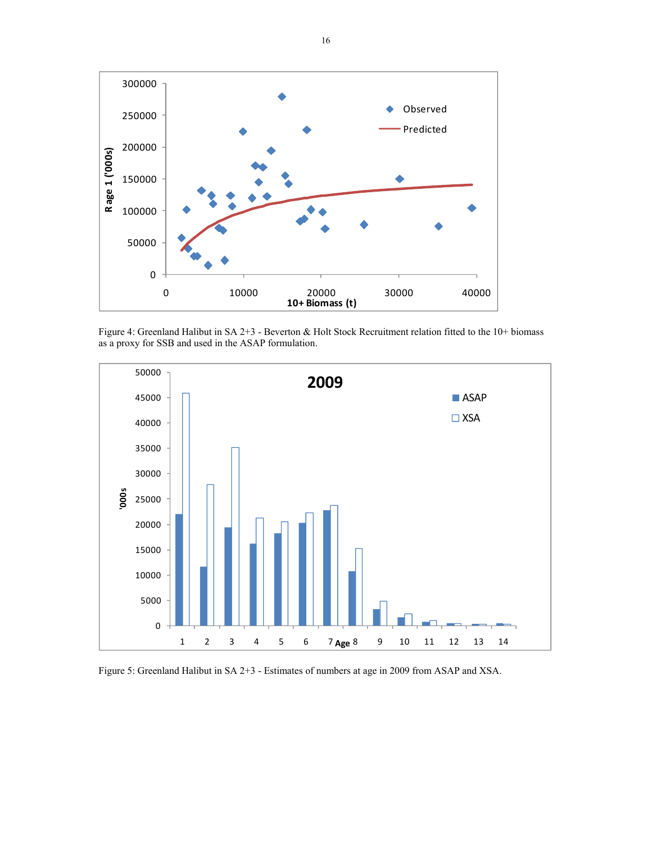

Figure 4: Greenland Halibut in SA 2+3 - Beverton & Holt Stock Recruitment relation fitted to the 10+ biomass as a proxy for SSB and used in the ASAP formulation.



Figure 5: Greenland Halibut in SA 2+3 - Estimates of numbers at age in 2009 from ASAP and XSA.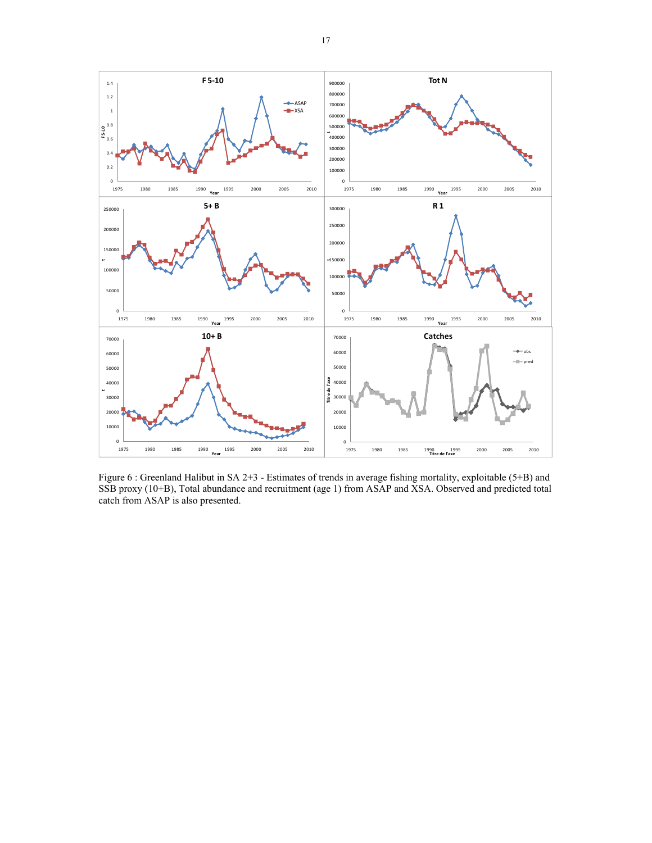

Figure 6 : Greenland Halibut in SA 2+3 - Estimates of trends in average fishing mortality, exploitable (5+B) and SSB proxy (10+B), Total abundance and recruitment (age 1) from ASAP and XSA. Observed and predicted total catch from ASAP is also presented.